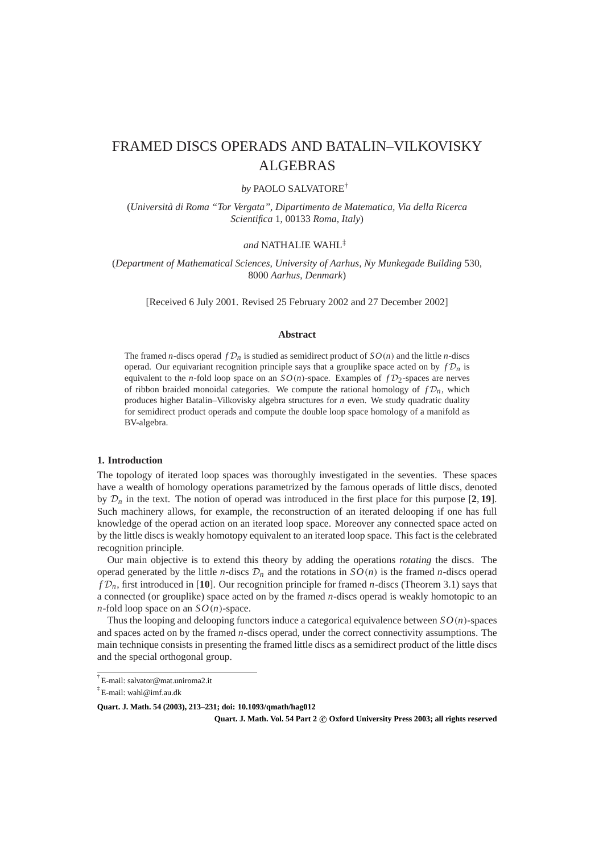# FRAMED DISCS OPERADS AND BATALIN–VILKOVISKY ALGEBRAS

# *by* PAOLO SALVATORE†

(*Universita d ` i Roma "Tor Vergata", Dipartimento de Matematica, Via della Ricerca Scientifica* 1, 00133 *Roma, Italy*)

# *and* NATHALIE WAHL‡

(*Department of Mathematical Sciences, University of Aarhus, Ny Munkegade Building* 530, 8000 *Aarhus, Denmark*)

[Received 6 July 2001. Revised 25 February 2002 and 27 December 2002]

## **Abstract**

The framed *n*-discs operad  $fD_n$  is studied as semidirect product of  $SO(n)$  and the little *n*-discs operad. Our equivariant recognition principle says that a grouplike space acted on by  $f\mathcal{D}_n$  is equivalent to the *n*-fold loop space on an  $SO(n)$ -space. Examples of  $fD_2$ -spaces are nerves of ribbon braided monoidal categories. We compute the rational homology of  $f\mathcal{D}_n$ , which produces higher Batalin–Vilkovisky algebra structures for *n* even. We study quadratic duality for semidirect product operads and compute the double loop space homology of a manifold as BV-algebra.

#### **1. Introduction**

The topology of iterated loop spaces was thoroughly investigated in the seventies. These spaces have a wealth of homology operations parametrized by the famous operads of little discs, denoted by  $\mathcal{D}_n$  in the text. The notion of operad was introduced in the first place for this purpose  $[2, 19]$ . Such machinery allows, for example, the reconstruction of an iterated delooping if one has full knowledge of the operad action on an iterated loop space. Moreover any connected space acted on by the little discs is weakly homotopy equivalent to an iterated loop space. This fact is the celebrated recognition principle.

Our main objective is to extend this theory by adding the operations *rotating* the discs. The operad generated by the little *n*-discs  $\mathcal{D}_n$  and the rotations in  $SO(n)$  is the framed *n*-discs operad  $fD_n$ , first introduced in [10]. Our recognition principle for framed *n*-discs (Theorem 3.1) says that a connected (or grouplike) space acted on by the framed *n*-discs operad is weakly homotopic to an *n*-fold loop space on an  $SO(n)$ -space.

Thus the looping and delooping functors induce a categorical equivalence between *SO*(*n*)-spaces and spaces acted on by the framed *n*-discs operad, under the correct connectivity assumptions. The main technique consists in presenting the framed little discs as a semidirect product of the little discs and the special orthogonal group.

**Quart. J. Math. Vol. 54 Part 2 c Oxford University Press 2003; all rights reserved**

<sup>†</sup> E-mail: salvator@mat.uniroma2.it

<sup>‡</sup> E-mail: wahl@imf.au.dk

**Quart. J. Math. 54 (2003), 213**–**231; doi: 10.1093/qmath/hag012**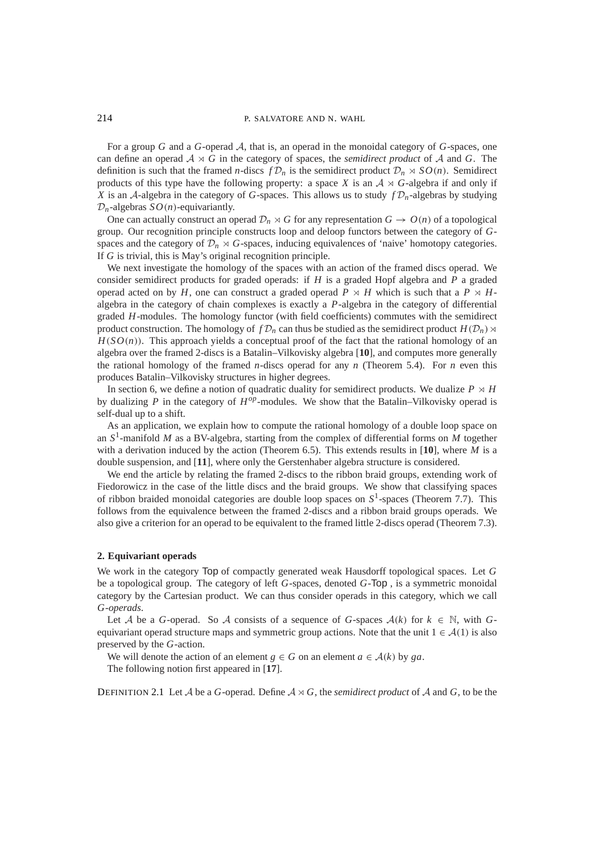For a group *G* and a *G*-operad A, that is, an operad in the monoidal category of *G*-spaces, one can define an operad  $A \rtimes G$  in the category of spaces, the *semidirect product* of A and G. The definition is such that the framed *n*-discs  $fD_n$  is the semidirect product  $D_n \rtimes SO(n)$ . Semidirect products of this type have the following property: a space *X* is an  $A \rtimes G$ -algebra if and only if *X* is an A-algebra in the category of *G*-spaces. This allows us to study  $fD_n$ -algebras by studying  $\mathcal{D}_n$ -algebras  $SO(n)$ -equivariantly.

One can actually construct an operad  $\mathcal{D}_n \rtimes G$  for any representation  $G \to O(n)$  of a topological group. Our recognition principle constructs loop and deloop functors between the category of *G*spaces and the category of  $\mathcal{D}_n \rtimes G$ -spaces, inducing equivalences of 'naive' homotopy categories. If *G* is trivial, this is May's original recognition principle.

We next investigate the homology of the spaces with an action of the framed discs operad. We consider semidirect products for graded operads: if *H* is a graded Hopf algebra and *P* a graded operad acted on by *H*, one can construct a graded operad  $P \rtimes H$  which is such that a  $P \rtimes H$ algebra in the category of chain complexes is exactly a *P*-algebra in the category of differential graded *H*-modules. The homology functor (with field coefficients) commutes with the semidirect product construction. The homology of  $f\mathcal{D}_n$  can thus be studied as the semidirect product  $H(\mathcal{D}_n) \rtimes$  $H(SO(n))$ . This approach yields a conceptual proof of the fact that the rational homology of an algebra over the framed 2-discs is a Batalin–Vilkovisky algebra [**10**], and computes more generally the rational homology of the framed *n*-discs operad for any *n* (Theorem 5.4). For *n* even this produces Batalin–Vilkovisky structures in higher degrees.

In section 6, we define a notion of quadratic duality for semidirect products. We dualize  $P \rtimes H$ by dualizing *P* in the category of *Hop*-modules. We show that the Batalin–Vilkovisky operad is self-dual up to a shift.

As an application, we explain how to compute the rational homology of a double loop space on an *S*1-manifold *M* as a BV-algebra, starting from the complex of differential forms on *M* together with a derivation induced by the action (Theorem 6.5). This extends results in [**10**], where *M* is a double suspension, and [**11**], where only the Gerstenhaber algebra structure is considered.

We end the article by relating the framed 2-discs to the ribbon braid groups, extending work of Fiedorowicz in the case of the little discs and the braid groups. We show that classifying spaces of ribbon braided monoidal categories are double loop spaces on  $S<sup>1</sup>$ -spaces (Theorem 7.7). This follows from the equivalence between the framed 2-discs and a ribbon braid groups operads. We also give a criterion for an operad to be equivalent to the framed little 2-discs operad (Theorem 7.3).

#### **2. Equivariant operads**

We work in the category Top of compactly generated weak Hausdorff topological spaces. Let *G* be a topological group. The category of left *G*-spaces, denoted *G*-Top , is a symmetric monoidal category by the Cartesian product. We can thus consider operads in this category, which we call *G-operads*.

Let A be a *G*-operad. So A consists of a sequence of *G*-spaces  $A(k)$  for  $k \in \mathbb{N}$ , with *G*equivariant operad structure maps and symmetric group actions. Note that the unit  $1 \in \mathcal{A}(1)$  is also preserved by the *G*-action.

We will denote the action of an element  $g \in G$  on an element  $a \in \mathcal{A}(k)$  by  $ga$ .

The following notion first appeared in [**17**].

DEFINITION 2.1 Let  $A$  be a  $G$ -operad. Define  $A \rtimes G$ , the *semidirect product* of  $A$  and  $G$ , to be the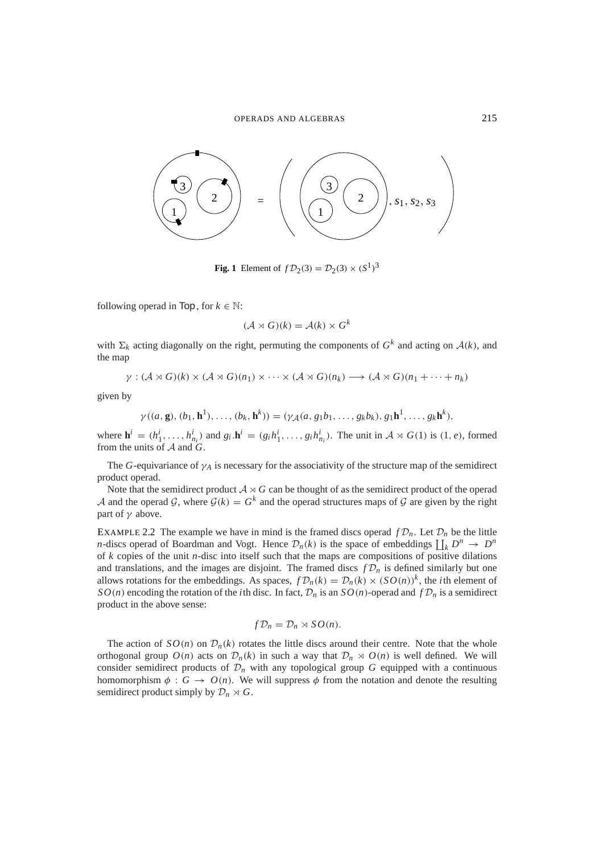

**Fig. 1** Element of  $fD_2(3) = D_2(3) \times (S^1)^3$ 

following operad in Top, for  $k \in \mathbb{N}$ :

$$
(\mathcal{A} \rtimes G)(k) = \mathcal{A}(k) \times G^k
$$

with  $\Sigma_k$  acting diagonally on the right, permuting the components of  $G^k$  and acting on  $A(k)$ , and the map

$$
\gamma: (\mathcal{A} \rtimes G)(k) \times (\mathcal{A} \rtimes G)(n_1) \times \cdots \times (\mathcal{A} \rtimes G)(n_k) \longrightarrow (\mathcal{A} \rtimes G)(n_1 + \cdots + n_k)
$$

given by

$$
\gamma((a, g), (b_1, h^1), \ldots, (b_k, h^k)) = (\gamma_{\mathcal{A}}(a, g_1b_1, \ldots, g_kb_k), g_1h^1, \ldots, g_kh^k),
$$

where  $\mathbf{h}^i = (h_1^i, \dots, h_{n_i}^i)$  and  $g_i \cdot \mathbf{h}^i = (g_i h_1^i, \dots, g_i h_{n_i}^i)$ . The unit in  $A \rtimes G(1)$  is  $(1, e)$ , formed from the units of A and *G*.

The *G*-equivariance of  $\gamma_A$  is necessary for the associativity of the structure map of the semidirect product operad.

Note that the semidirect product  $A \rtimes G$  can be thought of as the semidirect product of the operad A and the operad G, where  $G(k) = G^k$  and the operad structures maps of G are given by the right part of  $\gamma$  above.

EXAMPLE 2.2 The example we have in mind is the framed discs operad  $f\mathcal{D}_n$ . Let  $\mathcal{D}_n$  be the little *n*-discs operad of Boardman and Vogt. Hence  $\mathcal{D}_n(k)$  is the space of embeddings  $\prod_k D^n \to D^n$ of *k* copies of the unit *n*-disc into itself such that the maps are compositions of positive dilations and translations, and the images are disjoint. The framed discs  $fD_n$  is defined similarly but one allows rotations for the embeddings. As spaces,  $fD_n(k) = D_n(k) \times (SO(n))^k$ , the *i*th element of *SO*(*n*) encoding the rotation of the *i*th disc. In fact,  $\mathcal{D}_n$  is an *SO*(*n*)-operad and  $f\mathcal{D}_n$  is a semidirect product in the above sense:

$$
f\mathcal{D}_n=\mathcal{D}_n\rtimes SO(n).
$$

The action of  $SO(n)$  on  $\mathcal{D}_n(k)$  rotates the little discs around their centre. Note that the whole orthogonal group  $O(n)$  acts on  $\mathcal{D}_n(k)$  in such a way that  $\mathcal{D}_n \rtimes O(n)$  is well defined. We will consider semidirect products of  $\mathcal{D}_n$  with any topological group *G* equipped with a continuous homomorphism  $\phi : G \to O(n)$ . We will suppress  $\phi$  from the notation and denote the resulting semidirect product simply by  $\mathcal{D}_n \rtimes G$ .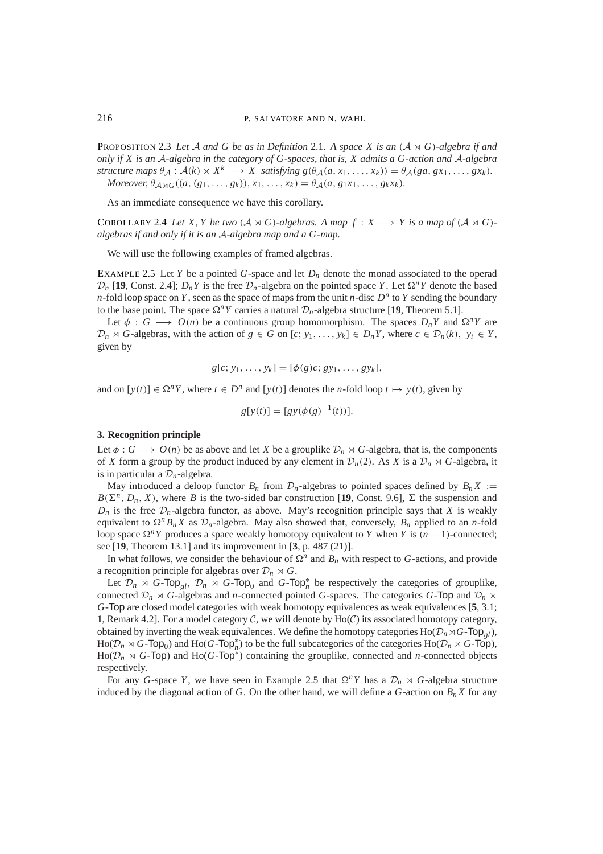**PROPOSITION 2.3** Let A and G be as in Definition 2.1. A space X is an  $(A \rtimes G)$ -algebra if and *only if X is an* A*-algebra in the category of G-spaces, that is, X admits a G-action and* A*-algebra structure maps*  $\theta_A : \mathcal{A}(k) \times X^k \longrightarrow X$  *satisfying*  $g(\theta_A(a, x_1, \ldots, x_k)) = \theta_A(ga, gx_1, \ldots, gx_k)$ . *Moreover,*  $\theta_{A \rtimes G}((a, (g_1, \ldots, g_k)), x_1, \ldots, x_k) = \theta_A(a, g_1 x_1, \ldots, g_k x_k).$ 

As an immediate consequence we have this corollary.

COROLLARY 2.4 Let X, Y be two  $(A \rtimes G)$ -algebras. A map  $f : X \longrightarrow Y$  is a map of  $(A \rtimes G)$ *algebras if and only if it is an* A*-algebra map and a G-map.*

We will use the following examples of framed algebras.

EXAMPLE 2.5 Let *Y* be a pointed *G*-space and let  $D_n$  denote the monad associated to the operad  $\mathcal{D}_n$  [19, Const. 2.4];  $D_n Y$  is the free  $\mathcal{D}_n$ -algebra on the pointed space *Y*. Let  $\Omega^n Y$  denote the based *n*-fold loop space on *Y*, seen as the space of maps from the unit *n*-disc  $D^n$  to *Y* sending the boundary to the base point. The space  $\Omega^n Y$  carries a natural  $\mathcal{D}_n$ -algebra structure [19, Theorem 5.1].

Let  $\phi : G \longrightarrow O(n)$  be a continuous group homomorphism. The spaces  $D_nY$  and  $\Omega^nY$  are  $\mathcal{D}_n \rtimes G$ -algebras, with the action of  $g \in G$  on  $[c; y_1, \ldots, y_k] \in D_n Y$ , where  $c \in \mathcal{D}_n(k)$ ,  $y_i \in Y$ , given by

$$
g[c; y_1, \ldots, y_k] = [\phi(g)c; gy_1, \ldots, gy_k],
$$

and on  $[y(t)] \in \Omega^n Y$ , where  $t \in D^n$  and  $[y(t)]$  denotes the *n*-fold loop  $t \mapsto y(t)$ , given by

$$
g[y(t)] = [gy(\phi(g)^{-1}(t))].
$$

#### **3. Recognition principle**

Let  $\phi$  : *G* → *O*(*n*) be as above and let *X* be a grouplike  $\mathcal{D}_n \rtimes G$ -algebra, that is, the components of *X* form a group by the product induced by any element in  $\mathcal{D}_n(2)$ . As *X* is a  $\mathcal{D}_n \rtimes G$ -algebra, it is in particular a  $\mathcal{D}_n$ -algebra.

May introduced a deloop functor  $B_n$  from  $\mathcal{D}_n$ -algebras to pointed spaces defined by  $B_nX :=$  $B(\Sigma^n, D_n, X)$ , where *B* is the two-sided bar construction [19, Const. 9.6],  $\Sigma$  the suspension and  $D_n$  is the free  $\mathcal{D}_n$ -algebra functor, as above. May's recognition principle says that *X* is weakly equivalent to  $\Omega^n B_n X$  as  $\mathcal{D}_n$ -algebra. May also showed that, conversely,  $B_n$  applied to an *n*-fold loop space  $\Omega^n Y$  produces a space weakly homotopy equivalent to *Y* when *Y* is  $(n - 1)$ -connected; see [**19**, Theorem 13.1] and its improvement in [**3**, p. 487 (21)].

In what follows, we consider the behaviour of  $\Omega^n$  and  $B_n$  with respect to *G*-actions, and provide a recognition principle for algebras over  $\mathcal{D}_n \rtimes G$ .

Let  $\mathcal{D}_n \rtimes G$ -Top<sub>gl</sub>,  $\mathcal{D}_n \rtimes G$ -Top<sub>0</sub> and  $G$ -Top<sub>n</sub><sup>\*</sup> be respectively the categories of grouplike, connected  $\mathcal{D}_n \rtimes G$ -algebras and *n*-connected pointed *G*-spaces. The categories *G*-Top and  $\mathcal{D}_n \rtimes$ *G*-Top are closed model categories with weak homotopy equivalences as weak equivalences [**5**, 3.1; **1**, Remark 4.2]. For a model category  $C$ , we will denote by  $Ho(C)$  its associated homotopy category, obtained by inverting the weak equivalences. We define the homotopy categories  $Ho(\mathcal{D}_n \rtimes G$ -Top<sub>*gl*</sub>),  $Ho(\mathcal{D}_n \rtimes G-\text{Top}_0)$  and  $Ho(G-\text{Top}_n^*)$  to be the full subcategories of the categories  $Ho(\mathcal{D}_n \rtimes G-\text{Top})$ ,  $Ho(\mathcal{D}_n \rtimes G\text{-Top})$  and  $Ho(G\text{-Top}^*)$  containing the grouplike, connected and *n*-connected objects respectively.

For any *G*-space *Y*, we have seen in Example 2.5 that  $\Omega^n Y$  has a  $\mathcal{D}_n \rtimes G$ -algebra structure induced by the diagonal action of *G*. On the other hand, we will define a *G*-action on  $B_n X$  for any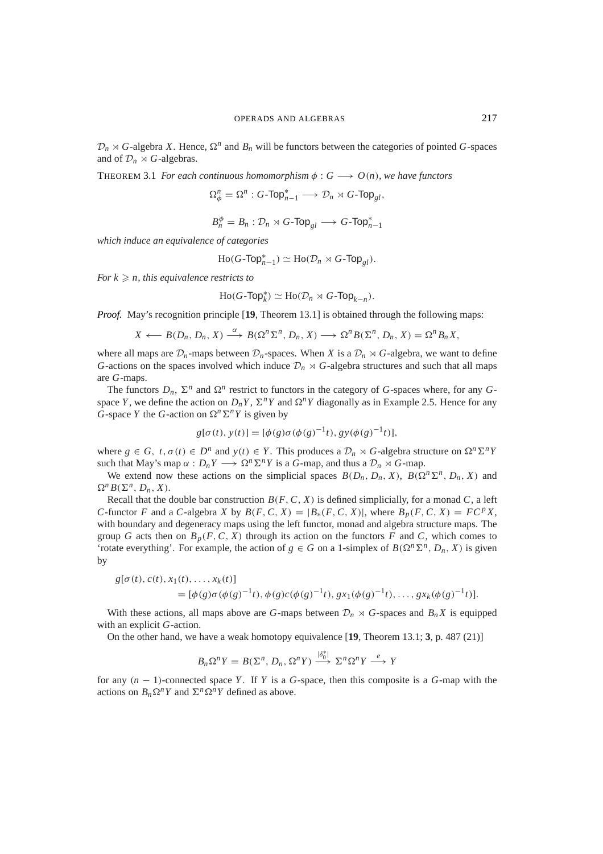$\mathcal{D}_n \rtimes G$ -algebra *X*. Hence,  $\Omega^n$  and  $B_n$  will be functors between the categories of pointed *G*-spaces and of  $\mathcal{D}_n \rtimes G$ -algebras.

THEOREM 3.1 *For each continuous homomorphism*  $\phi : G \longrightarrow O(n)$ *, we have functors* 

$$
\Omega_{\phi}^n=\Omega^n:G\text{-}\mathsf{Top}_{n-1}^*\longrightarrow \mathcal{D}_n\rtimes G\text{-}\mathsf{Top}_{gl},
$$

$$
B_n^{\phi} = B_n : \mathcal{D}_n \rtimes G\text{-}\mathsf{Top}_{gl} \longrightarrow G\text{-}\mathsf{Top}_{n-1}^*
$$

*which induce an equivalence of categories*

$$
\mathrm{Ho}(G\text{-}\mathsf{Top}_{n-1}^*)\simeq \mathrm{Ho}(\mathcal{D}_n\rtimes G\text{-}\mathsf{Top}_{gl}).
$$

*For*  $k \geq n$ *, this equivalence restricts to* 

$$
\mathrm{Ho}(G\text{-}\mathsf{Top}_{k}^{*})\simeq \mathrm{Ho}(\mathcal{D}_{n}\rtimes G\text{-}\mathsf{Top}_{k-n}).
$$

*Proof.* May's recognition principle [**19**, Theorem 13.1] is obtained through the following maps:

$$
X \longleftarrow B(D_n, D_n, X) \xrightarrow{\alpha} B(\Omega^n \Sigma^n, D_n, X) \longrightarrow \Omega^n B(\Sigma^n, D_n, X) = \Omega^n B_n X,
$$

where all maps are  $\mathcal{D}_n$ -maps between  $\mathcal{D}_n$ -spaces. When *X* is a  $\mathcal{D}_n \rtimes G$ -algebra, we want to define *G*-actions on the spaces involved which induce  $\mathcal{D}_n \rtimes G$ -algebra structures and such that all maps are *G*-maps.

The functors  $D_n$ ,  $\Sigma^n$  and  $\Omega^n$  restrict to functors in the category of *G*-spaces where, for any *G*space *Y*, we define the action on  $D_nY$ ,  $\Sigma^nY$  and  $\Omega^nY$  diagonally as in Example 2.5. Hence for any *G*-space *Y* the *G*-action on  $\Omega^n \Sigma^n Y$  is given by

$$
g[\sigma(t), y(t)] = [\phi(g)\sigma(\phi(g)^{-1}t), gy(\phi(g)^{-1}t)],
$$

where  $g \in G$ ,  $t, \sigma(t) \in D^n$  and  $y(t) \in Y$ . This produces a  $\mathcal{D}_n \rtimes G$ -algebra structure on  $\Omega^n \Sigma^n Y$ such that May's map  $\alpha : D_n Y \longrightarrow \Omega^n \Sigma^n Y$  is a *G*-map, and thus a  $D_n \rtimes G$ -map.

We extend now these actions on the simplicial spaces  $B(D_n, D_n, X)$ ,  $B(\Omega^n \Sigma^n, D_n, X)$  and  $\Omega^n B(\Sigma^n, D_n, X)$ .

Recall that the double bar construction  $B(F, C, X)$  is defined simplicially, for a monad *C*, a left *C*-functor *F* and a *C*-algebra *X* by  $B(F, C, X) = |B_*(F, C, X)|$ , where  $B_p(F, C, X) = FC^pX$ , with boundary and degeneracy maps using the left functor, monad and algebra structure maps. The group *G* acts then on  $B_p(F, C, X)$  through its action on the functors *F* and *C*, which comes to 'rotate everything'. For example, the action of  $g \in G$  on a 1-simplex of  $B(\Omega^n \Sigma^n, D_n, X)$  is given by

$$
g[\sigma(t), c(t), x_1(t), \dots, x_k(t)]
$$
  
=  $[\phi(g)\sigma(\phi(g)^{-1}t), \phi(g)c(\phi(g)^{-1}t), gx_1(\phi(g)^{-1}t), \dots, gx_k(\phi(g)^{-1}t)].$ 

With these actions, all maps above are *G*-maps between  $\mathcal{D}_n \rtimes G$ -spaces and  $B_n X$  is equipped with an explicit *G*-action.

On the other hand, we have a weak homotopy equivalence [**19**, Theorem 13.1; **3**, p. 487 (21)]

$$
B_n\Omega^n Y = B(\Sigma^n, D_n, \Omega^n Y) \stackrel{|\delta_0^*|}{\longrightarrow} \Sigma^n \Omega^n Y \stackrel{e}{\longrightarrow} Y
$$

for any (*n* − 1)-connected space *Y* . If *Y* is a *G*-space, then this composite is a *G*-map with the actions on  $B_n \Omega^n Y$  and  $\Sigma^n \Omega^n Y$  defined as above.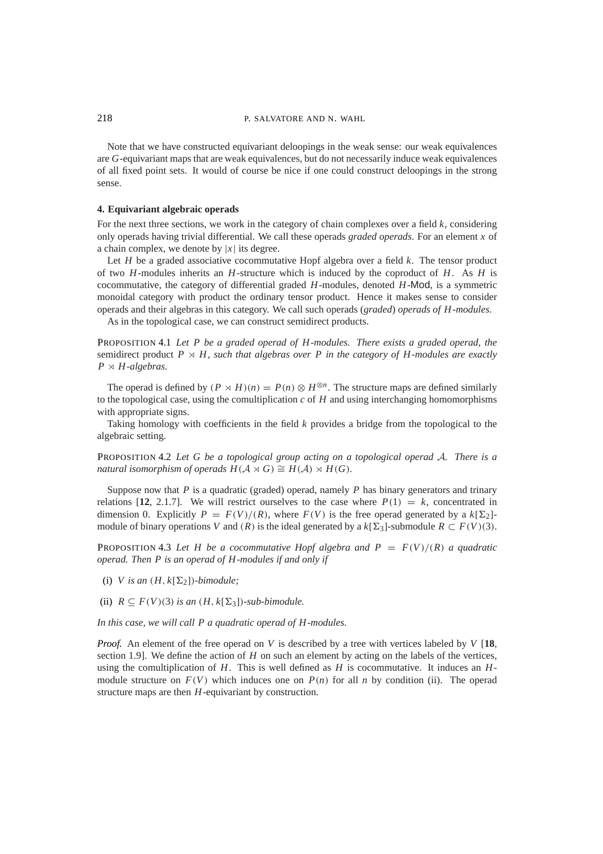Note that we have constructed equivariant deloopings in the weak sense: our weak equivalences are *G*-equivariant maps that are weak equivalences, but do not necessarily induce weak equivalences of all fixed point sets. It would of course be nice if one could construct deloopings in the strong sense.

### **4. Equivariant algebraic operads**

For the next three sections, we work in the category of chain complexes over a field *k*, considering only operads having trivial differential. We call these operads *graded operads*. For an element *x* of a chain complex, we denote by  $|x|$  its degree.

Let *H* be a graded associative cocommutative Hopf algebra over a field *k*. The tensor product of two *H*-modules inherits an *H*-structure which is induced by the coproduct of *H*. As *H* is cocommutative, the category of differential graded *H*-modules, denoted *H*-Mod, is a symmetric monoidal category with product the ordinary tensor product. Hence it makes sense to consider operads and their algebras in this category. We call such operads (*graded*) *operads of H-modules*.

As in the topological case, we can construct semidirect products.

PROPOSITION 4.1 *Let P be a graded operad of H-modules. There exists a graded operad, the* semidirect product  $P \rtimes H$ , such that algebras over P in the category of H-modules are exactly  $P \rtimes H$ -algebras.

The operad is defined by  $(P \rtimes H)(n) = P(n) \otimes H^{\otimes n}$ . The structure maps are defined similarly to the topological case, using the comultiplication  $c$  of  $H$  and using interchanging homomorphisms with appropriate signs.

Taking homology with coefficients in the field *k* provides a bridge from the topological to the algebraic setting.

PROPOSITION 4.2 *Let G be a topological group acting on a topological operad* A*. There is a natural isomorphism of operads*  $H(A \rtimes G) \cong H(A) \rtimes H(G)$ *.* 

Suppose now that *P* is a quadratic (graded) operad, namely *P* has binary generators and trinary relations  $[12, 2.1.7]$ . We will restrict ourselves to the case where  $P(1) = k$ , concentrated in dimension 0. Explicitly  $P = F(V)/(R)$ , where  $F(V)$  is the free operad generated by a  $k[\Sigma_2]$ module of binary operations *V* and  $(R)$  is the ideal generated by a  $k[\Sigma_3]$ -submodule  $R \subset F(V)(3)$ .

PROPOSITION 4.3 Let H be a cocommutative Hopf algebra and  $P = F(V)/(R)$  a quadratic *operad. Then P is an operad of H-modules if and only if*

(i) *V* is an  $(H, k[\Sigma_2])$ -bimodule;

(ii)  $R \subseteq F(V)(3)$  *is an*  $(H, k[\Sigma_3])$ *-sub-bimodule.* 

*In this case, we will call P a quadratic operad of H-modules.*

*Proof.* An element of the free operad on *V* is described by a tree with vertices labeled by *V* [18, section 1.9]. We define the action of *H* on such an element by acting on the labels of the vertices, using the comultiplication of *H*. This is well defined as *H* is cocommutative. It induces an *H*module structure on  $F(V)$  which induces one on  $P(n)$  for all *n* by condition (ii). The operad structure maps are then *H*-equivariant by construction.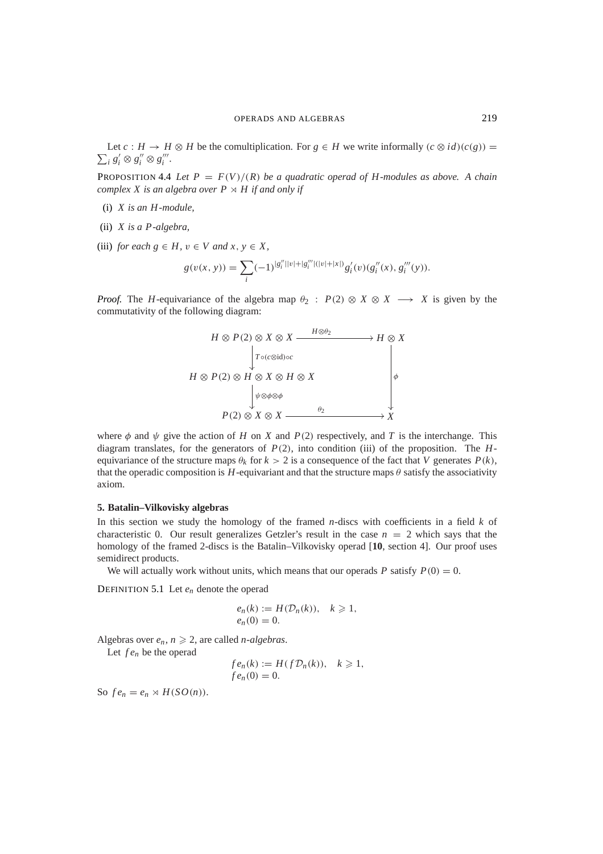$\sum_i s'_i \otimes s''_i \otimes s'''_i$ . Let  $c : H \to H \otimes H$  be the comultiplication. For  $g \in H$  we write informally  $(c \otimes id)(c(g)) =$ 

**PROPOSITION 4.4** Let  $P = F(V)/(R)$  be a quadratic operad of H-modules as above. A chain *complex X is an algebra over*  $P \rtimes H$  *if and only if* 

- (i) *X is an H-module,*
- (ii) *X is a P-algebra,*
- (iii) *for each*  $g \in H$ ,  $v \in V$  *and*  $x, y \in X$ ,

$$
g(v(x, y)) = \sum_{i} (-1)^{|g''_i||v| + |g'''_i||v| + |x|} g'_i(v)(g''_i(x), g'''_i(y)).
$$

*Proof.* The *H*-equivariance of the algebra map  $\theta_2$ :  $P(2) \otimes X \otimes X \longrightarrow X$  is given by the commutativity of the following diagram:



where  $\phi$  and  $\psi$  give the action of *H* on *X* and *P*(2) respectively, and *T* is the interchange. This diagram translates, for the generators of *P*(2), into condition (iii) of the proposition. The *H*equivariance of the structure maps  $\theta_k$  for  $k > 2$  is a consequence of the fact that *V* generates  $P(k)$ , that the operadic composition is  $H$ -equivariant and that the structure maps  $\theta$  satisfy the associativity axiom.

#### **5. Batalin–Vilkovisky algebras**

In this section we study the homology of the framed *n*-discs with coefficients in a field *k* of characteristic 0. Our result generalizes Getzler's result in the case  $n = 2$  which says that the homology of the framed 2-discs is the Batalin–Vilkovisky operad [**10**, section 4]. Our proof uses semidirect products.

We will actually work without units, which means that our operads *P* satisfy  $P(0) = 0$ .

DEFINITION 5.1 Let *en* denote the operad

$$
e_n(k) := H(\mathcal{D}_n(k)), \quad k \geq 1,
$$
  

$$
e_n(0) = 0.
$$

Algebras over  $e_n$ ,  $n \geq 2$ , are called *n*-algebras.

Let *f en* be the operad

$$
fe_n(k) := H(f\mathcal{D}_n(k)), \quad k \geq 1,
$$
  

$$
fe_n(0) = 0.
$$

So  $fe_n = e_n \rtimes H(SO(n)).$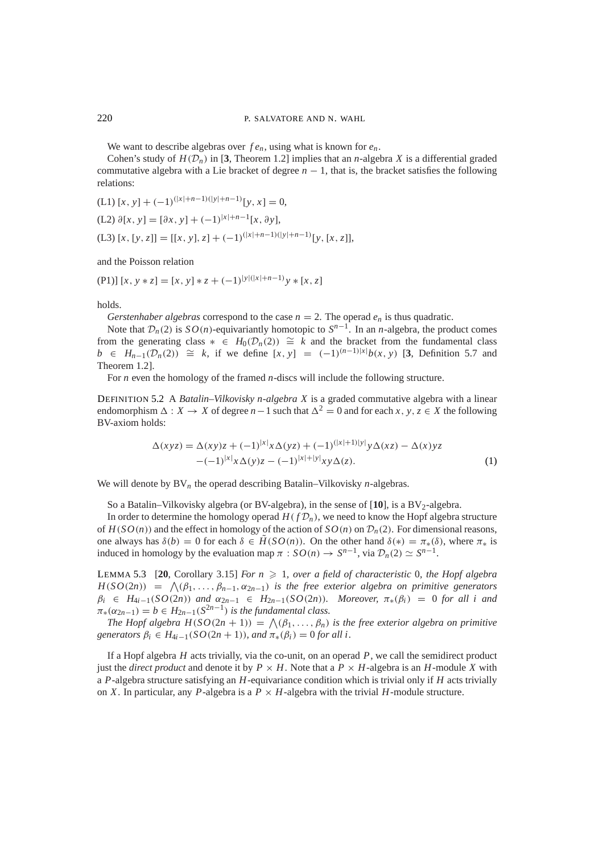We want to describe algebras over  $f e_n$ , using what is known for  $e_n$ .

Cohen's study of  $H(\mathcal{D}_n)$  in [3, Theorem 1.2] implies that an *n*-algebra *X* is a differential graded commutative algebra with a Lie bracket of degree  $n - 1$ , that is, the bracket satisfies the following relations:

(L1) 
$$
[x, y] + (-1)^{(|x|+n-1)(|y|+n-1)}[y, x] = 0,
$$
  
\n(L2)  $\partial[x, y] = [\partial x, y] + (-1)^{|x|+n-1}[x, \partial y],$   
\n(L3)  $[x, [y, z]] = [[x, y], z] + (-1)^{(|x|+n-1)(|y|+n-1)}[y, [x, z]],$ 

and the Poisson relation

 $(P1)$  $[x, y * z] = [x, y] * z + (-1)^{|y|(|x|+n-1)} y * [x, z]$ 

holds.

*Gerstenhaber algebras* correspond to the case  $n = 2$ . The operad  $e_n$  is thus quadratic.

Note that  $\mathcal{D}_n(2)$  is  $SO(n)$ -equivariantly homotopic to  $S^{n-1}$ . In an *n*-algebra, the product comes from the generating class  $* \in H_0(\mathcal{D}_n(2)) \cong k$  and the bracket from the fundamental class *b* ∈ *H<sub>n−1</sub>*( $\mathcal{D}_n(2)$ ) ≅ *k*, if we define [*x*, *y*] =  $(-1)^{(n-1)|x|}b(x, y)$  [3, Definition 5.7 and Theorem 1.2].

For *n* even the homology of the framed *n*-discs will include the following structure.

DEFINITION 5.2 A *Batalin–Vilkovisky n-algebra X* is a graded commutative algebra with a linear endomorphism  $\Delta : X \to X$  of degree *n* − 1 such that  $\Delta^2 = 0$  and for each *x*, *y*, *z* ∈ *X* the following BV-axiom holds:

$$
\Delta(xyz) = \Delta(xy)z + (-1)^{|x|}x\Delta(yz) + (-1)^{(|x|+1)|y|}y\Delta(xz) - \Delta(x)yz - (-1)^{|x|}x\Delta(y)z - (-1)^{|x|+|y|}xy\Delta(z).
$$
 (1)

We will denote by  $BV_n$  the operad describing Batalin–Vilkovisky *n*-algebras.

So a Batalin–Vilkovisky algebra (or BV-algebra), in the sense of  $[10]$ , is a BV<sub>2</sub>-algebra.

In order to determine the homology operad  $H(f \mathcal{D}_n)$ , we need to know the Hopf algebra structure of  $H(SO(n))$  and the effect in homology of the action of  $SO(n)$  on  $\mathcal{D}_n(2)$ . For dimensional reasons, one always has  $\delta(b) = 0$  for each  $\delta \in \tilde{H}(SO(n))$ . On the other hand  $\delta(*) = \pi_*(\delta)$ , where  $\pi_*$  is induced in homology by the evaluation map  $\pi : SO(n) \to S^{n-1}$ , via  $\mathcal{D}_n(2) \simeq S^{n-1}$ .

LEMMA 5.3 [20, Corollary 3.15] *For*  $n \ge 1$ *, over a field of characteristic* 0*, the Hopf algebra*  $H(SO(2n)) = \bigwedge (\beta_1, \ldots, \beta_{n-1}, \alpha_{2n-1})$  *is the free exterior algebra on primitive generators* β*<sup>i</sup>* ∈ *H*4*i*−1(*SO*(2*n*)) *and* α2*n*−<sup>1</sup> ∈ *H*2*n*−1(*SO*(2*n*))*. Moreover,* π∗(β*i*) = 0 *for all i and*  $\pi_*(\alpha_{2n-1}) = b \in H_{2n-1}(S^{2n-1})$  *is the fundamental class.* 

*The Hopf algebra H*( $SO(2n + 1)$ ) =  $\bigwedge (\beta_1, \ldots, \beta_n)$  *is the free exterior algebra on primitive generators*  $\beta_i \in H_{4i-1}(SO(2n+1))$ *, and*  $\pi_*(\beta_i) = 0$  *for all i.* 

If a Hopf algebra *H* acts trivially, via the co-unit, on an operad *P*, we call the semidirect product just the *direct product* and denote it by  $P \times H$ . Note that a  $P \times H$ -algebra is an *H*-module *X* with a *P*-algebra structure satisfying an *H*-equivariance condition which is trivial only if *H* acts trivially on *X*. In particular, any *P*-algebra is a  $P \times H$ -algebra with the trivial *H*-module structure.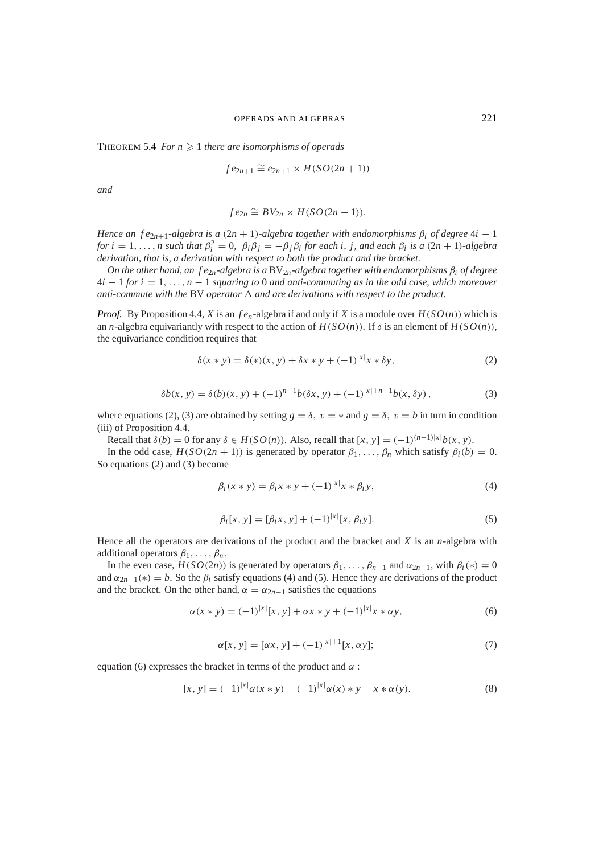THEOREM 5.4 *For*  $n \geq 1$  *there are isomorphisms of operads* 

$$
fe_{2n+1} \cong e_{2n+1} \times H(SO(2n+1))
$$

*and*

$$
fe_{2n} \cong BV_{2n} \times H(SO(2n-1)).
$$

*Hence an f*  $e_{2n+1}$ *-algebra is a* (2*n* + 1)*-algebra together with endomorphisms*  $\beta_i$  *of degree* 4*i* − 1 *for*  $i = 1, \ldots, n$  *such that*  $\beta_i^2 = 0$ ,  $\beta_i \beta_j = -\beta_j \beta_i$  *for each i, j, and each*  $\beta_i$  *is a*  $(2n + 1)$ *-algebra derivation, that is, a derivation with respect to both the product and the bracket.*

*On the other hand, an f e*2*n-algebra is a* BV2*n-algebra together with endomorphisms* β*<sup>i</sup> of degree* 4*i* − 1 *for i* = 1,..., *n* − 1 *squaring to* 0 *and anti-commuting as in the odd case, which moreover* anti-commute with the BV operator  $\Delta$  and are derivations with respect to the product.

*Proof.* By Proposition 4.4, *X* is an  $f e_n$ -algebra if and only if *X* is a module over  $H(SO(n))$  which is an *n*-algebra equivariantly with respect to the action of  $H(SO(n))$ . If  $\delta$  is an element of  $H(SO(n))$ , the equivariance condition requires that

$$
\delta(x * y) = \delta(*) (x, y) + \delta x * y + (-1)^{|x|} x * \delta y,
$$
 (2)

|*x*|

$$
\delta b(x, y) = \delta(b)(x, y) + (-1)^{n-1} b(\delta x, y) + (-1)^{|x|+n-1} b(x, \delta y), \tag{3}
$$

where equations (2), (3) are obtained by setting  $g = \delta$ ,  $v = *$  and  $g = \delta$ ,  $v = b$  in turn in condition (iii) of Proposition 4.4.

Recall that  $\delta(b) = 0$  for any  $\delta \in H(SO(n))$ . Also, recall that  $[x, y] = (-1)^{(n-1)|x|} b(x, y)$ .

In the odd case,  $H(SO(2n + 1))$  is generated by operator  $\beta_1, \ldots, \beta_n$  which satisfy  $\beta_i(b) = 0$ . So equations (2) and (3) become

$$
\beta_i(x * y) = \beta_i x * y + (-1)^{|x|} x * \beta_i y,
$$
\n(4)

$$
\beta_i[x, y] = [\beta_i x, y] + (-1)^{|x|} [x, \beta_i y].
$$
\n(5)

Hence all the operators are derivations of the product and the bracket and *X* is an *n*-algebra with additional operators  $\beta_1, \ldots, \beta_n$ .

In the even case,  $H(SO(2n))$  is generated by operators  $\beta_1, \ldots, \beta_{n-1}$  and  $\alpha_{2n-1}$ , with  $\beta_i(*) = 0$ and  $\alpha_{2n-1}(*) = b$ . So the  $\beta_i$  satisfy equations (4) and (5). Hence they are derivations of the product and the bracket. On the other hand,  $\alpha = \alpha_{2n-1}$  satisfies the equations

$$
\alpha(x * y) = (-1)^{|x|} [x, y] + \alpha x * y + (-1)^{|x|} x * \alpha y,
$$
\n(6)

$$
\alpha[x, y] = [\alpha x, y] + (-1)^{|x|+1} [x, \alpha y];\tag{7}
$$

equation (6) expresses the bracket in terms of the product and  $\alpha$ :

$$
[x, y] = (-1)^{|x|} \alpha(x * y) - (-1)^{|x|} \alpha(x) * y - x * \alpha(y).
$$
 (8)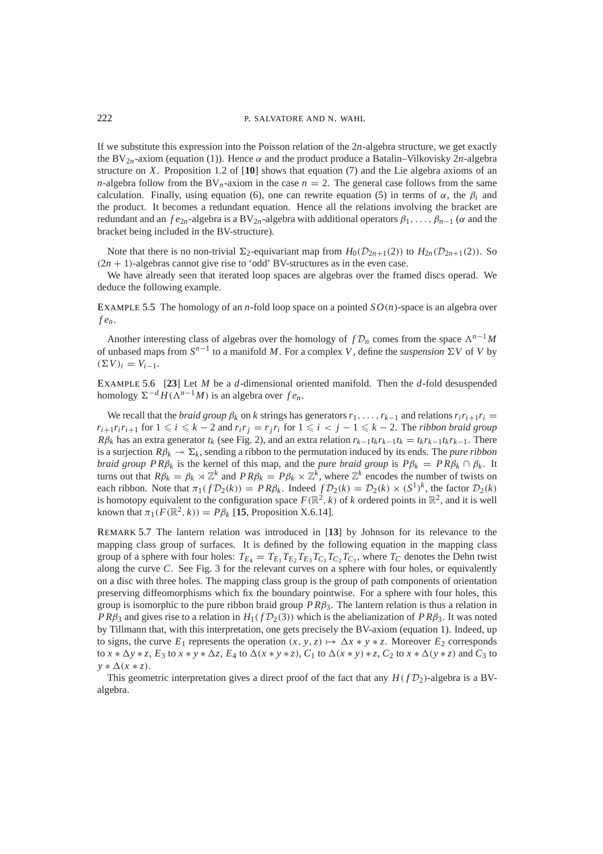If we substitute this expression into the Poisson relation of the 2*n*-algebra structure, we get exactly the BV<sub>2n</sub>-axiom (equation (1)). Hence  $\alpha$  and the product produce a Batalin–Vilkovisky 2n-algebra structure on *X*. Proposition 1.2 of [**10**] shows that equation (7) and the Lie algebra axioms of an *n*-algebra follow from the BV<sub>n</sub>-axiom in the case  $n = 2$ . The general case follows from the same calculation. Finally, using equation (6), one can rewrite equation (5) in terms of  $\alpha$ , the  $\beta$ <sub>*i*</sub> and the product. It becomes a redundant equation. Hence all the relations involving the bracket are redundant and an  $fe_{2n}$ -algebra is a BV<sub>2n</sub>-algebra with additional operators  $\beta_1, \ldots, \beta_{n-1}$  ( $\alpha$  and the bracket being included in the BV-structure).

Note that there is no non-trivial  $\Sigma_2$ -equivariant map from  $H_0(\mathcal{D}_{2n+1}(2))$  to  $H_{2n}(\mathcal{D}_{2n+1}(2))$ . So  $(2n + 1)$ -algebras cannot give rise to 'odd' BV-structures as in the even case.

We have already seen that iterated loop spaces are algebras over the framed discs operad. We deduce the following example.

EXAMPLE 5.5 The homology of an *n*-fold loop space on a pointed  $SO(n)$ -space is an algebra over *f en*.

Another interesting class of algebras over the homology of  $fD_n$  comes from the space  $\Lambda^{n-1}M$ of unbased maps from  $S^{n-1}$  to a manifold *M*. For a complex *V*, define the *suspension*  $\Sigma V$  of *V* by  $(\Sigma V)_i = V_{i-1}.$ 

EXAMPLE 5.6 [**23**] Let *M* be a *d*-dimensional oriented manifold. Then the *d*-fold desuspended homology  $\Sigma^{-d} H(\Lambda^{n-1}M)$  is an algebra over  $fe_n$ .

We recall that the *braid group*  $\beta_k$  on *k* strings has generators  $r_1, \ldots, r_{k-1}$  and relations  $r_i r_{i+1} r_i =$  $r_{i+1}r_ir_{i+1}$  for  $1 \leq i \leq k-2$  and  $r_ir_j = r_jr_i$  for  $1 \leq i < j-1 \leq k-2$ . The *ribbon braid group R*β<sub>k</sub> has an extra generator  $t_k$  (see Fig. 2), and an extra relation  $r_{k-1}t_kr_{k-1}t_k = t_kr_{k-1}t_kr_{k-1}$ . There is a surjection  $R\beta_k \to \Sigma_k$ , sending a ribbon to the permutation induced by its ends. The *pure ribbon braid group PR* $\beta_k$  *is the kernel of this map, and the <i>pure braid group* is  $P\beta_k = PR\beta_k \cap \beta_k$ . It turns out that  $R\beta_k = \beta_k \rtimes \mathbb{Z}^k$  and  $PR\beta_k = P\beta_k \times \mathbb{Z}^k$ , where  $\mathbb{Z}^k$  encodes the number of twists on each ribbon. Note that  $\pi_1(f\mathcal{D}_2(k)) = PR\beta_k$ . Indeed  $f\mathcal{D}_2(k) = \mathcal{D}_2(k) \times (S^1)^k$ , the factor  $\mathcal{D}_2(k)$ is homotopy equivalent to the configuration space  $F(\mathbb{R}^2, k)$  of *k* ordered points in  $\mathbb{R}^2$ , and it is well known that  $\pi_1(F(\mathbb{R}^2, k)) = P\beta_k$  [15, Proposition X.6.14].

REMARK 5.7 The lantern relation was introduced in [**13**] by Johnson for its relevance to the mapping class group of surfaces. It is defined by the following equation in the mapping class group of a sphere with four holes:  $T_{E_4} = T_{E_1} T_{E_2} T_{E_3} T_{C_1} T_{C_2} T_{C_3}$ , where  $T_C$  denotes the Dehn twist along the curve *C*. See Fig. 3 for the relevant curves on a sphere with four holes, or equivalently on a disc with three holes. The mapping class group is the group of path components of orientation preserving diffeomorphisms which fix the boundary pointwise. For a sphere with four holes, this group is isomorphic to the pure ribbon braid group  $PR\beta_3$ . The lantern relation is thus a relation in *P R* $\beta_3$  and gives rise to a relation in *H*<sub>1</sub>(*f* D<sub>2</sub>(3)) which is the abelianization of *PR* $\beta_3$ . It was noted by Tillmann that, with this interpretation, one gets precisely the BV-axiom (equation 1). Indeed, up to signs, the curve  $E_1$  represents the operation  $(x, y, z) \mapsto \Delta x * y * z$ . Moreover  $E_2$  corresponds to  $x * \Delta y * z$ ,  $E_3$  to  $x * y * \Delta z$ ,  $E_4$  to  $\Delta(x * y * z)$ ,  $C_1$  to  $\Delta(x * y) * z$ ,  $C_2$  to  $x * \Delta(y * z)$  and  $C_3$  to  $y * \Delta(x * z)$ .

This geometric interpretation gives a direct proof of the fact that any  $H(fD_2)$ -algebra is a BValgebra.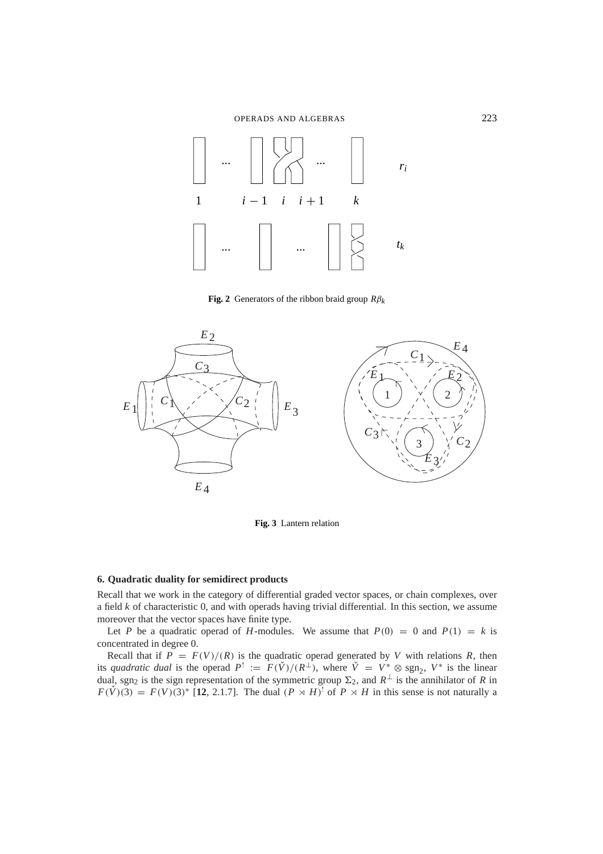

**Fig. 2** Generators of the ribbon braid group  $R\beta_k$ 



**Fig. 3** Lantern relation

# **6. Quadratic duality for semidirect products**

Recall that we work in the category of differential graded vector spaces, or chain complexes, over a field *k* of characteristic 0, and with operads having trivial differential. In this section, we assume moreover that the vector spaces have finite type.

Let *P* be a quadratic operad of *H*-modules. We assume that  $P(0) = 0$  and  $P(1) = k$  is concentrated in degree 0.

Recall that if  $P = F(V)/(R)$  is the quadratic operad generated by *V* with relations *R*, then its *quadratic dual* is the operad  $P^! := F(\check{V})/(R^{\perp})$ , where  $\check{V} = V^* \otimes \text{sgn}_2$ ,  $V^*$  is the linear dual, sgn<sub>2</sub> is the sign representation of the symmetric group  $\Sigma_2$ , and  $R^{\perp}$  is the annihilator of *R* in  $F(\check{V})(3) = F(V)(3)^*$  [12, 2.1.7]. The dual  $(P \rtimes H)^!$  of  $P \rtimes H$  in this sense is not naturally a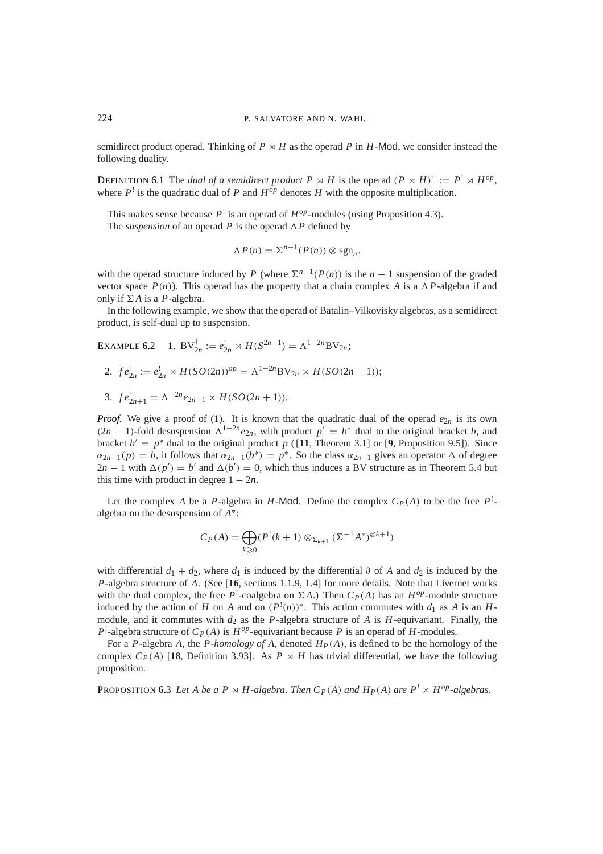semidirect product operad. Thinking of  $P \rtimes H$  as the operad P in H-Mod, we consider instead the following duality.

**DEFINITION 6.1** The *dual of a semidirect product*  $P \rtimes H$  is the operad  $(P \rtimes H)^{\dagger} := P^{\dagger} \rtimes H^{op}$ , where  $P^{\perp}$  is the quadratic dual of  $P$  and  $H^{op}$  denotes  $H$  with the opposite multiplication.

This makes sense because  $P^!$  is an operad of  $H^{op}$ -modules (using Proposition 4.3). The *suspension* of an operad *P* is the operad  $\Lambda P$  defined by

$$
\Lambda P(n) = \Sigma^{n-1}(P(n)) \otimes \operatorname{sgn}_n,
$$

with the operad structure induced by *P* (where  $\sum^{n-1}(P(n))$  is the *n* − 1 suspension of the graded vector space  $P(n)$ ). This operad has the property that a chain complex *A* is a  $\Lambda P$ -algebra if and only if  $\Sigma A$  is a *P*-algebra.

In the following example, we show that the operad of Batalin–Vilkovisky algebras, as a semidirect product, is self-dual up to suspension.

EXAMPLE 6.2 1. BV $_{2n}^{\dagger} := e_{2n}^{\dagger} \rtimes H(S^{2n-1}) = \Lambda^{1-2n}$ BV<sub>2*n*</sub>;

2. 
$$
fe_{2n}^{\dagger} := e_{2n}^{\dagger} \rtimes H(SO(2n))^{op} = \Lambda^{1-2n}BV_{2n} \times H(SO(2n-1));
$$
  
3.  $fe_{2n+1}^{\dagger} = \Lambda^{-2n}e_{2n+1} \times H(SO(2n+1)).$ 

*Proof.* We give a proof of (1). It is known that the quadratic dual of the operad  $e_{2n}$  is its own  $(2n - 1)$ -fold desuspension  $\Lambda^{1-2n}e_{2n}$ , with product  $p' = b^*$  dual to the original bracket *b*, and bracket  $b' = p^*$  dual to the original product p (11, Theorem 3.1) or [9, Proposition 9.5]). Since  $\alpha_{2n-1}(p) = b$ , it follows that  $\alpha_{2n-1}(b^*) = p^*$ . So the class  $\alpha_{2n-1}$  gives an operator  $\Delta$  of degree  $2n-1$  with  $\Delta(p') = b'$  and  $\Delta(b') = 0$ , which thus induces a BV structure as in Theorem 5.4 but this time with product in degree  $1 - 2n$ .

Let the complex *A* be a *P*-algebra in *H*-Mod. Define the complex  $C_P(A)$  to be the free  $P^1$ algebra on the desuspension of *A*∗:

$$
C_P(A) = \bigoplus_{k \geq 0} (P^!(k+1) \otimes_{\Sigma_{k+1}} (\Sigma^{-1} A^*)^{\otimes k+1})
$$

with differential  $d_1 + d_2$ , where  $d_1$  is induced by the differential ∂ of *A* and  $d_2$  is induced by the *P*-algebra structure of *A*. (See [**16**, sections 1.1.9, 1.4] for more details. Note that Livernet works with the dual complex, the free  $P^!$ -coalgebra on  $\Sigma A$ .) Then  $C_P(A)$  has an  $H^{op}$ -module structure induced by the action of *H* on *A* and on  $(P^!(n))^*$ . This action commutes with  $d_1$  as *A* is an *H*module, and it commutes with  $d_2$  as the *P*-algebra structure of *A* is *H*-equivariant. Finally, the  $P^!$ -algebra structure of  $C_P(A)$  is  $H^{op}$ -equivariant because *P* is an operad of *H*-modules.

For a *P*-algebra *A*, the *P-homology of A*, denoted *HP*(*A*), is defined to be the homology of the complex  $C_P(A)$  [18, Definition 3.93]. As  $P \times H$  has trivial differential, we have the following proposition.

PROPOSITION 6.3 Let A be a  $P \rtimes H$ -algebra. Then  $C_P(A)$  and  $H_P(A)$  are  $P^1 \rtimes H^{op}$ -algebras.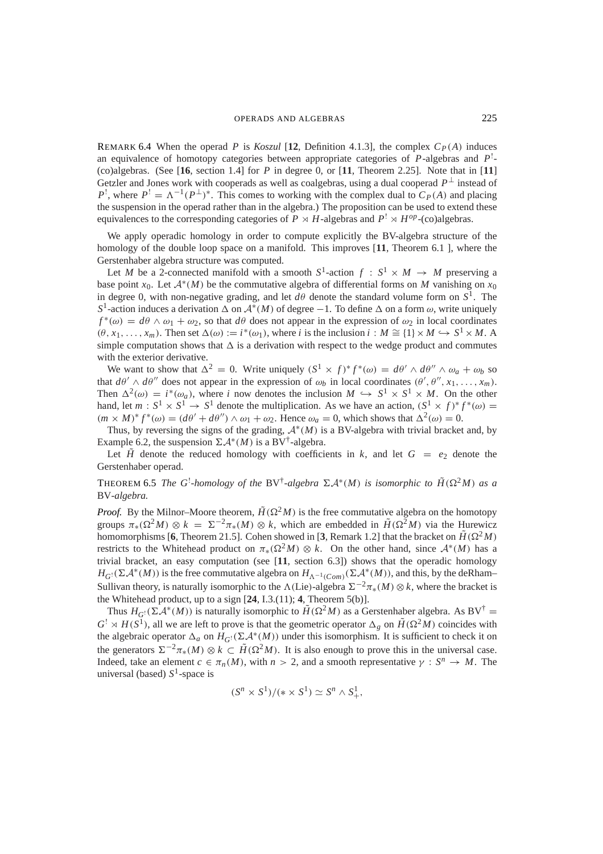# OPERADS AND ALGEBRAS 225

REMARK 6.4 When the operad *P* is *Koszul* [12, Definition 4.1.3], the complex  $C_P(A)$  induces an equivalence of homotopy categories between appropriate categories of *P*-algebras and *P*! - (co)algebras. (See [**16**, section 1.4] for *P* in degree 0, or [**11**, Theorem 2.25]. Note that in [**11**] Getzler and Jones work with cooperads as well as coalgebras, using a dual cooperad  $P^{\perp}$  instead of  $P^!$ , where  $P^! = \Lambda^{-1}(P^{\perp})^*$ . This comes to working with the complex dual to  $C_P(A)$  and placing the suspension in the operad rather than in the algebra.) The proposition can be used to extend these equivalences to the corresponding categories of  $P \rtimes H$ -algebras and  $P^1 \rtimes H^{op}$ -(co)algebras.

We apply operadic homology in order to compute explicitly the BV-algebra structure of the homology of the double loop space on a manifold. This improves [**11**, Theorem 6.1 ], where the Gerstenhaber algebra structure was computed.

Let *M* be a 2-connected manifold with a smooth  $S^1$ -action  $f : S^1 \times M \rightarrow M$  preserving a base point *x*<sub>0</sub>. Let  $A^*(M)$  be the commutative algebra of differential forms on *M* vanishing on *x*<sub>0</sub> in degree 0, with non-negative grading, and let  $d\theta$  denote the standard volume form on  $S^1$ . The *S*<sup>1</sup>-action induces a derivation  $\Delta$  on  $\mathcal{A}^*(M)$  of degree −1. To define  $\Delta$  on a form  $\omega$ , write uniquely  $f^*(\omega) = d\theta \wedge \omega_1 + \omega_2$ , so that  $d\theta$  does not appear in the expression of  $\omega_2$  in local coordinates  $(\theta, x_1, \ldots, x_m)$ . Then set  $\Delta(\omega) := i^*(\omega_1)$ , where *i* is the inclusion  $i : M \cong \{1\} \times M \hookrightarrow S^1 \times M$ . A simple computation shows that  $\Delta$  is a derivation with respect to the wedge product and commutes with the exterior derivative.

We want to show that  $\Delta^2 = 0$ . Write uniquely  $(S^1 \times f)^* f^* (\omega) = d\theta' \wedge d\theta'' \wedge \omega_a + \omega_b$  so that  $d\theta' \wedge d\theta''$  does not appear in the expression of  $\omega_b$  in local coordinates  $(\theta', \theta'', x_1, \ldots, x_m)$ . Then  $\Delta^2(\omega) = i^*(\omega_a)$ , where *i* now denotes the inclusion  $M \hookrightarrow S^1 \times S^1 \times M$ . On the other hand, let  $m : S^1 \times S^1 \to S^1$  denote the multiplication. As we have an action,  $(S^1 \times f)^* f^* (\omega) =$  $(m \times M)^* f^*(\omega) = (d\theta' + d\theta'') \wedge \omega_1 + \omega_2$ . Hence  $\omega_a = 0$ , which shows that  $\Delta^2(\omega) = 0$ .

Thus, by reversing the signs of the grading,  $A^*(M)$  is a BV-algebra with trivial bracket and, by Example 6.2, the suspension  $\Sigma \mathcal{A}^*(M)$  is a BV<sup>†</sup>-algebra.

Let  $\tilde{H}$  denote the reduced homology with coefficients in k, and let  $G = e_2$  denote the Gerstenhaber operad.

# **THEOREM 6.5** *The G*<sup>!</sup>-homology of the BV<sup>†</sup>-algebra  $\Sigma A^*(M)$  is isomorphic to  $\widetilde{H}(\Omega^2M)$  as a BV*-algebra.*

*Proof.* By the Milnor–Moore theorem,  $\tilde{H}(\Omega^2 M)$  is the free commutative algebra on the homotopy groups  $\pi_*(\Omega^2 M) \otimes k = \Sigma^{-2} \pi_*(M) \otimes k$ , which are embedded in  $\tilde{H}(\Omega^2 M)$  via the Hurewicz homomorphisms [6, Theorem 21.5]. Cohen showed in [3, Remark 1.2] that the bracket on  $\tilde{H}(\Omega^2M)$ restricts to the Whitehead product on  $\pi_*(\Omega^2 M) \otimes k$ . On the other hand, since  $\mathcal{A}^*(M)$  has a trivial bracket, an easy computation (see [**11**, section 6.3]) shows that the operadic homology  $H_{G}(\Sigma \mathcal{A}^*(M))$  is the free commutative algebra on  $H_{\Lambda^{-1}(Com)}(\Sigma \mathcal{A}^*(M))$ , and this, by the deRham– Sullivan theory, is naturally isomorphic to the  $\Lambda$ (Lie)-algebra  $\Sigma^{-2}\pi_*(M) \otimes k$ , where the bracket is the Whitehead product, up to a sign [**24**, I.3.(11); **4**, Theorem 5(b)].

Thus  $H_{G}(\Sigma \mathcal{A}^*(M))$  is naturally isomorphic to  $\widetilde{H}(\Omega^2 M)$  as a Gerstenhaber algebra. As BV<sup>†</sup> =  $G^! \rtimes H(S^1)$ , all we are left to prove is that the geometric operator  $\Delta_g$  on  $\tilde{H}(\Omega^2 M)$  coincides with the algebraic operator  $\Delta_a$  on  $H_G$ !( $\Sigma \mathcal{A}^*(M)$ ) under this isomorphism. It is sufficient to check it on the generators  $\Sigma^{-2}\pi_*(M) \otimes k \subset \tilde{H}(\Omega^2M)$ . It is also enough to prove this in the universal case. Indeed, take an element  $c \in \pi_n(M)$ , with  $n > 2$ , and a smooth representative  $\gamma : S^n \to M$ . The universal (based)  $S<sup>1</sup>$ -space is

$$
(Sn \times S1)/(*\times S1) \simeq Sn \wedge S1_{+},
$$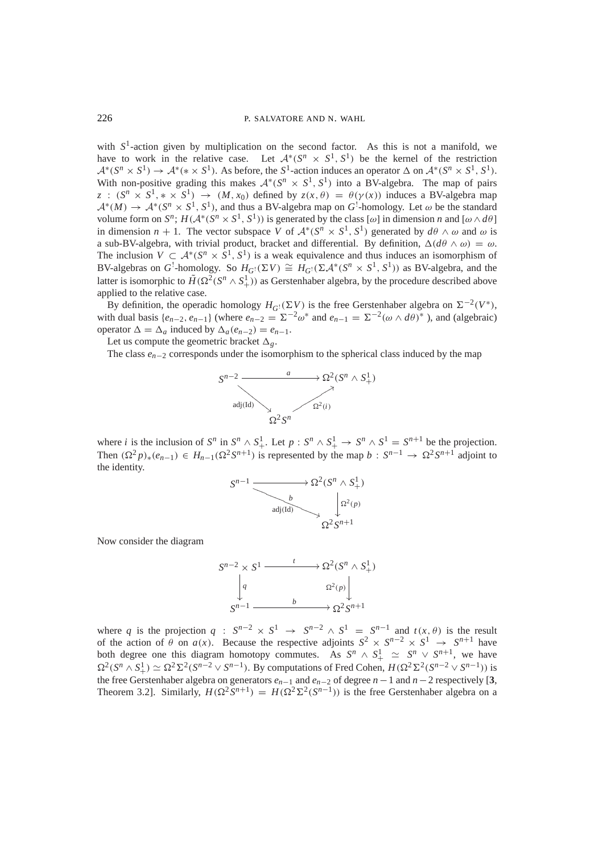with  $S<sup>1</sup>$ -action given by multiplication on the second factor. As this is not a manifold, we have to work in the relative case. Let  $\mathcal{A}^*(S^n \times S^1, S^1)$  be the kernel of the restriction  $\mathcal{A}^*(S^n \times S^1) \to \mathcal{A}^*(\ast \times S^1)$ . As before, the  $S^1$ -action induces an operator  $\Delta$  on  $\mathcal{A}^*(S^n \times S^1, S^1)$ . With non-positive grading this makes  $\mathcal{A}^*(S^n \times S^1, S^1)$  into a BV-algebra. The map of pairs *z* :  $(S^n \times S^1, * \times S^1) \rightarrow (M, x_0)$  defined by  $z(x, \theta) = \theta(\gamma(x))$  induces a BV-algebra map  $\mathcal{A}^*(M) \to \mathcal{A}^*(S^n \times S^1, S^1)$ , and thus a BV-algebra map on  $G^!$ -homology. Let  $\omega$  be the standard volume form on  $S^n$ ;  $H(A^*(S^n \times S^1, S^1))$  is generated by the class  $[\omega]$  in dimension *n* and  $[\omega \wedge d\theta]$ in dimension *n* + 1. The vector subspace *V* of  $\mathcal{A}^*(S^n \times S^1, S^1)$  generated by  $d\theta \wedge \omega$  and  $\omega$  is a sub-BV-algebra, with trivial product, bracket and differential. By definition,  $\Delta(d\theta \wedge \omega) = \omega$ . The inclusion  $V \subset A^*(S^n \times \overline{S}^1, S^1)$  is a weak equivalence and thus induces an isomorphism of BV-algebras on *G*<sup>!</sup>-homology. So  $H_{G}(\Sigma V) \cong H_{G}(\Sigma \mathcal{A}^*(S^n \times S^1, S^1))$  as BV-algebra, and the latter is isomorphic to  $\tilde{H}(\Omega^2(S^n \wedge S^1_+))$  as Gerstenhaber algebra, by the procedure described above applied to the relative case.

By definition, the operadic homology  $H_G$ !( $\Sigma V$ ) is the free Gerstenhaber algebra on  $\Sigma^{-2}(V^*)$ , with dual basis  $\{e_{n-2}, e_{n-1}\}$  (where  $e_{n-2} = \Sigma^{-2} \omega^*$  and  $e_{n-1} = \Sigma^{-2} (\omega \wedge d\theta)^*$ ), and (algebraic) operator  $\Delta = \Delta_a$  induced by  $\Delta_a(e_{n-2}) = e_{n-1}$ .

Let us compute the geometric bracket  $\Delta_g$ .

The class *en*<sup>−</sup><sup>2</sup> corresponds under the isomorphism to the spherical class induced by the map



where *i* is the inclusion of  $S^n$  in  $S^n \wedge S^1_+$ . Let  $p : S^n \wedge S^1_+ \rightarrow S^n \wedge S^1 = S^{n+1}$  be the projection. Then  $(\Omega^2 p)_{*}(e_{n-1}) \in H_{n-1}(\Omega^2 S^{n+1})$  is represented by the map  $b: S^{n-1} \to \Omega^2 S^{n+1}$  adjoint to the identity.

$$
S^{n-1} \xrightarrow{\qquad \qquad} \Omega^2(S^n \wedge S^1_+)
$$
\n
$$
\xrightarrow{\qquad \qquad b \qquad \qquad} \Omega^2(p)
$$
\n
$$
\Omega^2 S^{n+1}
$$

Now consider the diagram



where *q* is the projection  $q : S^{n-2} \times S^1 \to S^{n-2} \wedge S^1 = S^{n-1}$  and  $t(x, \theta)$  is the result of the action of  $\theta$  on  $a(x)$ . Because the respective adjoints  $S^2 \times S^{n-2} \times S^1 \to S^{n+1}$  have both degree one this diagram homotopy commutes. As  $S^n \wedge S^1_+ \simeq S^n \vee S^{n+1}$ , we have  $\Omega^2(S^n \wedge S^1_+) \simeq \Omega^2 \Sigma^2(S^{n-2} \vee S^{n-1})$ . By computations of Fred Cohen,  $H(\Omega^2 \Sigma^2(S^{n-2} \vee S^{n-1}))$  is the free Gerstenhaber algebra on generators  $e_{n-1}$  and  $e_{n-2}$  of degree  $n-1$  and  $n-2$  respectively [3, Theorem 3.2]. Similarly,  $H(\Omega^2 S^{n+1}) = H(\Omega^2 \Sigma^2 (S^{n-1}))$  is the free Gerstenhaber algebra on a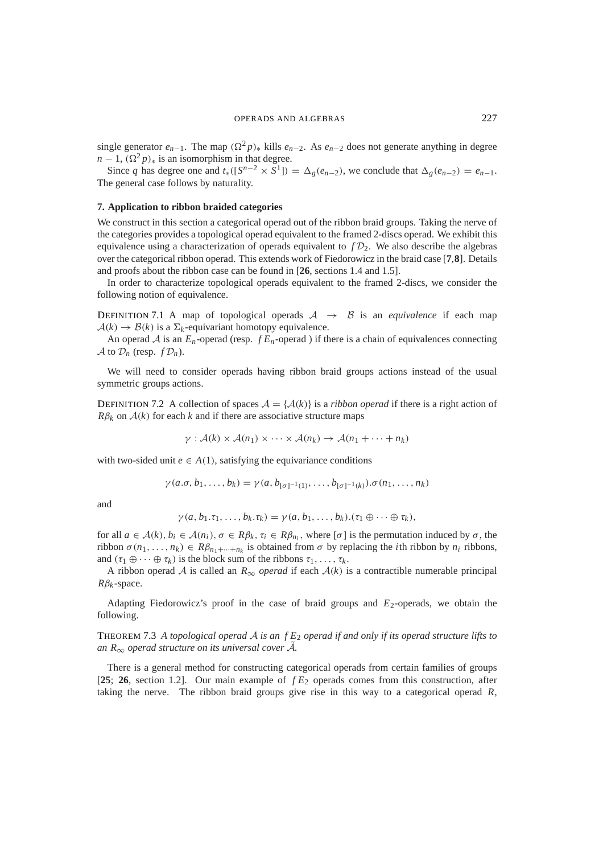single generator  $e_{n-1}$ . The map  $(\Omega^2 p)_*$  kills  $e_{n-2}$ . As  $e_{n-2}$  does not generate anything in degree  $n-1$ ,  $(\Omega^2 p)_*$  is an isomorphism in that degree.

Since *q* has degree one and  $t_*( [S^{n-2} \times S^1] ) = \Delta_g(e_{n-2})$ , we conclude that  $\Delta_g(e_{n-2}) = e_{n-1}$ . The general case follows by naturality.

#### **7. Application to ribbon braided categories**

We construct in this section a categorical operad out of the ribbon braid groups. Taking the nerve of the categories provides a topological operad equivalent to the framed 2-discs operad. We exhibit this equivalence using a characterization of operads equivalent to  $fD<sub>2</sub>$ . We also describe the algebras over the categorical ribbon operad. This extends work of Fiedorowicz in the braid case [**7**,**8**]. Details and proofs about the ribbon case can be found in [**26**, sections 1.4 and 1.5].

In order to characterize topological operads equivalent to the framed 2-discs, we consider the following notion of equivalence.

DEFINITION 7.1 A map of topological operads  $A \rightarrow B$  is an *equivalence* if each map  $A(k) \rightarrow B(k)$  is a  $\Sigma_k$ -equivariant homotopy equivalence.

An operad  $A$  is an  $E_n$ -operad (resp.  $f E_n$ -operad) if there is a chain of equivalences connecting  $\mathcal A$  to  $\mathcal D_n$  (resp.  $f\mathcal D_n$ ).

We will need to consider operads having ribbon braid groups actions instead of the usual symmetric groups actions.

DEFINITION 7.2 A collection of spaces  $A = \{A(k)\}\$ is a *ribbon operad* if there is a right action of  $R\beta_k$  on  $A(k)$  for each *k* and if there are associative structure maps

$$
\gamma: \mathcal{A}(k) \times \mathcal{A}(n_1) \times \cdots \times \mathcal{A}(n_k) \to \mathcal{A}(n_1 + \cdots + n_k)
$$

with two-sided unit  $e \in A(1)$ , satisfying the equivariance conditions

$$
\gamma(a.\sigma,b_1,\ldots,b_k)=\gamma(a,b_{[\sigma]^{-1}(1)},\ldots,b_{[\sigma]^{-1}(k)}).\sigma(n_1,\ldots,n_k)
$$

and

$$
\gamma(a, b_1.\tau_1, \ldots, b_k.\tau_k) = \gamma(a, b_1, \ldots, b_k).(\tau_1 \oplus \cdots \oplus \tau_k),
$$

for all  $a \in \mathcal{A}(k)$ ,  $b_i \in \mathcal{A}(n_i)$ ,  $\sigma \in R\beta_k$ ,  $\tau_i \in R\beta_{n_i}$ , where  $[\sigma]$  is the permutation induced by  $\sigma$ , the ribbon  $\sigma(n_1,\ldots,n_k) \in R\beta_{n_1+\cdots+n_k}$  is obtained from  $\sigma$  by replacing the *i*th ribbon by  $n_i$  ribbons, and  $(\tau_1 \oplus \cdots \oplus \tau_k)$  is the block sum of the ribbons  $\tau_1, \ldots, \tau_k$ .

A ribbon operad A is called an  $R_{\infty}$  *operad* if each  $A(k)$  is a contractible numerable principal  $R\beta_k$ -space.

Adapting Fiedorowicz's proof in the case of braid groups and  $E_2$ -operads, we obtain the following.

THEOREM 7.3 *A topological operad* A *is an f E*<sup>2</sup> *operad if and only if its operad structure lifts to an*  $R_{\infty}$  *operad structure on its universal cover*  $\tilde{A}$ *.* 

There is a general method for constructing categorical operads from certain families of groups [**25**; **26**, section 1.2]. Our main example of *f E*<sup>2</sup> operads comes from this construction, after taking the nerve. The ribbon braid groups give rise in this way to a categorical operad *R*,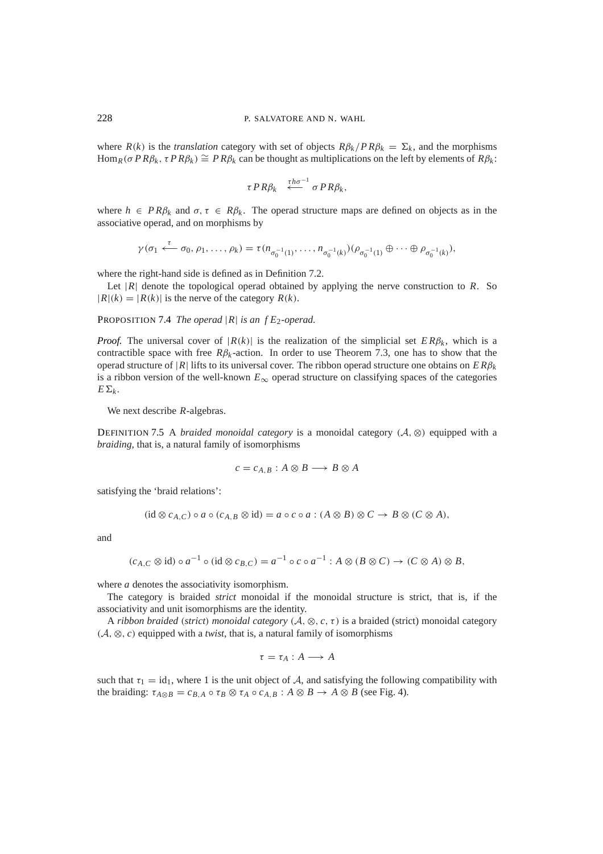where  $R(k)$  is the *translation* category with set of objects  $R\beta_k/P R\beta_k = \Sigma_k$ , and the morphisms Hom<sub>*R*</sub>( $\sigma PR\beta_k$ ,  $\tau PR\beta_k$ )  $\cong PR\beta_k$  can be thought as multiplications on the left by elements of  $R\beta_k$ :

$$
\tau PR\beta_k \stackrel{\tau h \sigma^{-1}}{\longleftarrow} \sigma PR\beta_k,
$$

where  $h \in PR\beta_k$  and  $\sigma, \tau \in R\beta_k$ . The operad structure maps are defined on objects as in the associative operad, and on morphisms by

$$
\gamma(\sigma_1 \stackrel{\tau}{\longleftarrow} \sigma_0, \rho_1, \dots, \rho_k) = \tau(n_{\sigma_0^{-1}(1)}, \dots, n_{\sigma_0^{-1}(k)}) (\rho_{\sigma_0^{-1}(1)} \oplus \dots \oplus \rho_{\sigma_0^{-1}(k)}),
$$

where the right-hand side is defined as in Definition 7.2.

Let  $|R|$  denote the topological operad obtained by applying the nerve construction to *R*. So  $|R|(k) = |R(k)|$  is the nerve of the category  $R(k)$ .

PROPOSITION 7.4 *The operad* |*R*| *is an f E*2*-operad.*

*Proof.* The universal cover of  $|R(k)|$  is the realization of the simplicial set  $ER\beta_k$ , which is a contractible space with free  $R\beta_k$ -action. In order to use Theorem 7.3, one has to show that the operad structure of |*R*| lifts to its universal cover. The ribbon operad structure one obtains on *E R*β*<sup>k</sup>* is a ribbon version of the well-known  $E_{\infty}$  operad structure on classifying spaces of the categories  $E\Sigma_k$ .

We next describe *R*-algebras.

DEFINITION 7.5 A *braided monoidal category* is a monoidal category ( $A$ , ⊗) equipped with a *braiding*, that is, a natural family of isomorphisms

$$
c = c_{A,B} : A \otimes B \longrightarrow B \otimes A
$$

satisfying the 'braid relations':

$$
(\mathrm{id}\otimes c_{A,C})\circ a\circ (c_{A,B}\otimes \mathrm{id})=a\circ c\circ a:(A\otimes B)\otimes C\to B\otimes (C\otimes A),
$$

and

$$
(c_{A,C}\otimes id)\circ a^{-1}\circ (id\otimes c_{B,C})=a^{-1}\circ c\circ a^{-1}:A\otimes (B\otimes C)\to (C\otimes A)\otimes B,
$$

where *a* denotes the associativity isomorphism.

The category is braided *strict* monoidal if the monoidal structure is strict, that is, if the associativity and unit isomorphisms are the identity.

A *ribbon braided* (*strict*) *monoidal category* (A, ⊗, *c*,τ) is a braided (strict) monoidal category (A, ⊗, *c*) equipped with a *twist*, that is, a natural family of isomorphisms

$$
\tau = \tau_A : A \longrightarrow A
$$

such that  $\tau_1 = id_1$ , where 1 is the unit object of A, and satisfying the following compatibility with the braiding:  $\tau_{A\otimes B} = c_{B,A} \circ \tau_B \otimes \tau_A \circ c_{A,B} : A \otimes B \to A \otimes B$  (see Fig. 4).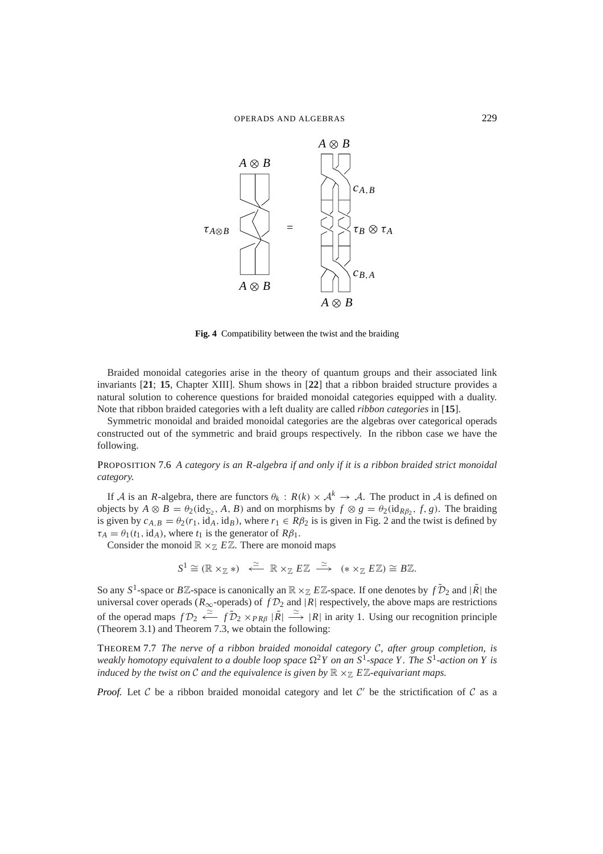

**Fig. 4** Compatibility between the twist and the braiding

Braided monoidal categories arise in the theory of quantum groups and their associated link invariants [**21**; **15**, Chapter XIII]. Shum shows in [**22**] that a ribbon braided structure provides a natural solution to coherence questions for braided monoidal categories equipped with a duality. Note that ribbon braided categories with a left duality are called *ribbon categories* in [**15**].

Symmetric monoidal and braided monoidal categories are the algebras over categorical operads constructed out of the symmetric and braid groups respectively. In the ribbon case we have the following.

PROPOSITION 7.6 *A category is an R-algebra if and only if it is a ribbon braided strict monoidal category.*

If A is an *R*-algebra, there are functors  $\theta_k$ :  $R(k) \times \mathcal{A}^k \to \mathcal{A}$ . The product in A is defined on objects by  $A \otimes B = \theta_2(\text{id}_{\Sigma_2}, A, B)$  and on morphisms by  $f \otimes g = \theta_2(\text{id}_{R\beta_2}, f, g)$ . The braiding is given by  $c_{A,B} = \theta_2(r_1, id_A, id_B)$ , where  $r_1 \in R\beta_2$  is is given in Fig. 2 and the twist is defined by  $\tau_A = \theta_1(t_1, id_A)$ , where  $t_1$  is the generator of  $R\beta_1$ .

Consider the monoid  $\mathbb{R} \times \mathbb{Z}$  *EZ*. There are monoid maps

$$
S^1 \cong (\mathbb{R} \times_{\mathbb{Z}} *) \quad \stackrel{\simeq}{\longleftarrow} \quad \mathbb{R} \times_{\mathbb{Z}} E \mathbb{Z} \quad \stackrel{\simeq}{\longrightarrow} \quad (* \times_{\mathbb{Z}} E \mathbb{Z}) \cong B \mathbb{Z}.
$$

So any  $S^1$ -space or  $B\mathbb{Z}$ -space is canonically an  $\mathbb{R} \times_{\mathbb{Z}} E\mathbb{Z}$ -space. If one denotes by  $f\tilde{\mathcal{D}}_2$  and  $|\tilde{R}|$  the universal cover operads ( $R_{\infty}$ -operads) of  $fD_2$  and |*R*| respectively, the above maps are restrictions of the operad maps  $fD_2 \stackrel{\simeq}{\longleftrightarrow} fD_2 \times_{PR\beta} |\tilde{R}| \stackrel{\simeq}{\longrightarrow} |R|$  in arity 1. Using our recognition principle (Theorem 3.1) and Theorem 7.3, we obtain the following:

THEOREM 7.7 *The nerve of a ribbon braided monoidal category* C*, after group completion, is weakly homotopy equivalent to a double loop space*  $\Omega^2 Y$  *on an*  $S^1$ *-space* Y. The  $S^1$ *-action on* Y *is induced by the twist on*  $\mathcal C$  *and the equivalence is given by*  $\mathbb R \times_{\mathbb Z} E\mathbb Z$ -equivariant maps.

*Proof.* Let C be a ribbon braided monoidal category and let  $C'$  be the strictification of C as a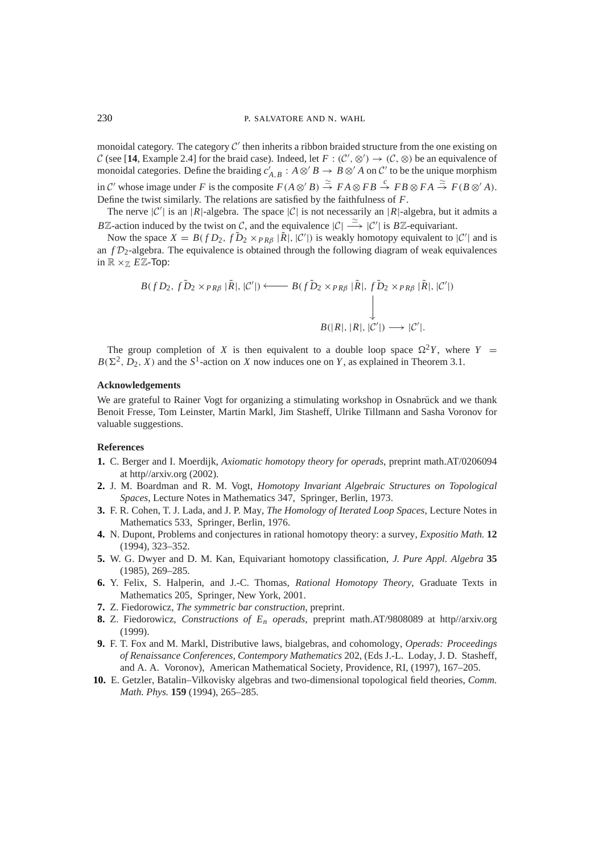monoidal category. The category  $C'$  then inherits a ribbon braided structure from the one existing on C (see [14, Example 2.4] for the braid case). Indeed, let  $F: (C', \otimes') \to (C, \otimes)$  be an equivalence of monoidal categories. Define the braiding  $c'_{A,B}: A \otimes' B \to B \otimes' A$  on C' to be the unique morphism in C' whose image under F is the composite  $F(A \otimes' B) \stackrel{\simeq}{\to} F A \otimes F B \stackrel{c}{\to} F B \otimes F A \stackrel{\simeq}{\to} F(B \otimes' A)$ . Define the twist similarly. The relations are satisfied by the faithfulness of *F*.

The nerve  $|C'|$  is an  $|R|$ -algebra. The space  $|C|$  is not necessarily an  $|R|$ -algebra, but it admits a *BZ*-action induced by the twist on C, and the equivalence  $|C| \stackrel{\simeq}{\longrightarrow} |C'|$  is *BZ*-equivariant.

Now the space  $X = B(fD_2, fD_2 \times_{PR\beta} |\tilde{R}|, |\mathcal{C}'|)$  is weakly homotopy equivalent to  $|\mathcal{C}'|$  and is an  $f\mathcal{D}_2$ -algebra. The equivalence is obtained through the following diagram of weak equivalences in  $\mathbb{R} \times_{\mathbb{Z}} E \mathbb{Z}$ -Top:

$$
B(fD_2, fD_2 \times_{PR\beta} |\tilde{R}|, |\mathcal{C}'|) \longleftarrow B(fD_2 \times_{PR\beta} |\tilde{R}|, fD_2 \times_{PR\beta} |\tilde{R}|, |\mathcal{C}'|)
$$
  
\n
$$
\downarrow
$$
  
\n
$$
B(|R|, |R|, |\mathcal{C}'|) \longrightarrow |\mathcal{C}'|.
$$

The group completion of *X* is then equivalent to a double loop space  $\Omega^2 Y$ , where *Y* =  $B(\Sigma^2, D_2, X)$  and the  $S^1$ -action on *X* now induces one on *Y*, as explained in Theorem 3.1.

#### **Acknowledgements**

We are grateful to Rainer Vogt for organizing a stimulating workshop in Osnabrück and we thank Benoit Fresse, Tom Leinster, Martin Markl, Jim Stasheff, Ulrike Tillmann and Sasha Voronov for valuable suggestions.

## **References**

- **1.** C. Berger and I. Moerdijk, *Axiomatic homotopy theory for operads*, preprint math.AT/0206094 at http//arxiv.org (2002).
- **2.** J. M. Boardman and R. M. Vogt, *Homotopy Invariant Algebraic Structures on Topological Spaces*, Lecture Notes in Mathematics 347, Springer, Berlin, 1973.
- **3.** F. R. Cohen, T. J. Lada, and J. P. May, *The Homology of Iterated Loop Spaces*, Lecture Notes in Mathematics 533, Springer, Berlin, 1976.
- **4.** N. Dupont, Problems and conjectures in rational homotopy theory: a survey, *Expositio Math.* **12** (1994), 323–352.
- **5.** W. G. Dwyer and D. M. Kan, Equivariant homotopy classification, *J. Pure Appl. Algebra* **35** (1985), 269–285.
- **6.** Y. Felix, S. Halperin, and J.-C. Thomas, *Rational Homotopy Theory*, Graduate Texts in Mathematics 205, Springer, New York, 2001.
- **7.** Z. Fiedorowicz, *The symmetric bar construction*, preprint.
- **8.** Z. Fiedorowicz, *Constructions of En operads*, preprint math.AT/9808089 at http//arxiv.org (1999).
- **9.** F. T. Fox and M. Markl, Distributive laws, bialgebras, and cohomology, *Operads: Proceedings of Renaissance Conferences*, *Contempory Mathematics* 202, (Eds J.-L. Loday, J. D. Stasheff, and A. A. Voronov), American Mathematical Society, Providence, RI, (1997), 167–205.
- **10.** E. Getzler, Batalin–Vilkovisky algebras and two-dimensional topological field theories, *Comm. Math. Phys.* **159** (1994), 265–285.